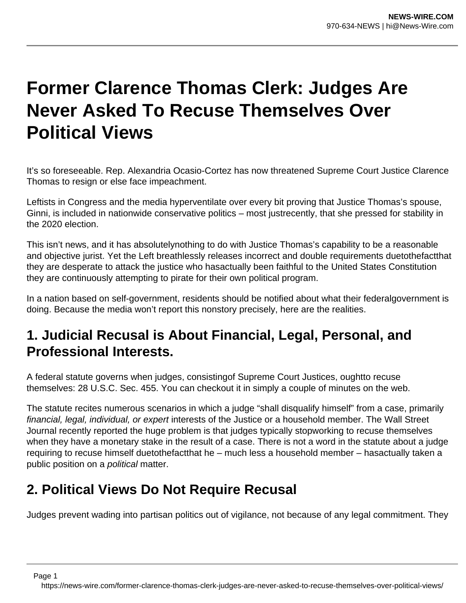## **Former Clarence Thomas Clerk: Judges Are Never Asked To Recuse Themselves Over Political Views**

It's so foreseeable. Rep. Alexandria Ocasio-Cortez has now threatened Supreme Court Justice Clarence Thomas to resign or else face impeachment.

Leftists in Congress and the media hyperventilate over every bit proving that Justice Thomas's spouse, Ginni, is included in nationwide conservative politics – most justrecently, that she pressed for stability in the 2020 election.

This isn't news, and it has absolutelynothing to do with Justice Thomas's capability to be a reasonable and objective jurist. Yet the Left breathlessly releases incorrect and double requirements duetothefactthat they are desperate to attack the justice who hasactually been faithful to the United States Constitution they are continuously attempting to pirate for their own political program.

In a nation based on self-government, residents should be notified about what their federalgovernment is doing. Because the media won't report this nonstory precisely, here are the realities.

## **1. Judicial Recusal is About Financial, Legal, Personal, and Professional Interests.**

A federal statute governs when judges, consistingof Supreme Court Justices, oughtto recuse themselves: 28 U.S.C. Sec. 455. You can checkout it in simply a couple of minutes on the web.

The statute recites numerous scenarios in which a judge "shall disqualify himself" from a case, primarily financial, legal, individual, or expert interests of the Justice or a household member. The Wall Street Journal recently reported the huge problem is that judges typically stopworking to recuse themselves when they have a monetary stake in the result of a case. There is not a word in the statute about a judge requiring to recuse himself duetothefactthat he – much less a household member – hasactually taken a public position on a *political* matter.

## **2. Political Views Do Not Require Recusal**

Judges prevent wading into partisan politics out of vigilance, not because of any legal commitment. They

Page 1

https://news-wire.com/former-clarence-thomas-clerk-judges-are-never-asked-to-recuse-themselves-over-political-views/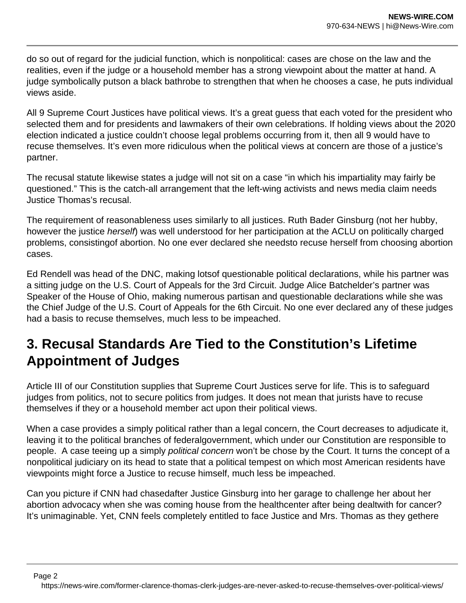do so out of regard for the judicial function, which is nonpolitical: cases are chose on the law and the realities, even if the judge or a household member has a strong viewpoint about the matter at hand. A judge symbolically putson a black bathrobe to strengthen that when he chooses a case, he puts individual views aside.

All 9 Supreme Court Justices have political views. It's a great guess that each voted for the president who selected them and for presidents and lawmakers of their own celebrations. If holding views about the 2020 election indicated a justice couldn't choose legal problems occurring from it, then all 9 would have to recuse themselves. It's even more ridiculous when the political views at concern are those of a justice's partner.

The recusal statute likewise states a judge will not sit on a case "in which his impartiality may fairly be questioned." This is the catch-all arrangement that the left-wing activists and news media claim needs Justice Thomas's recusal.

The requirement of reasonableness uses similarly to all justices. Ruth Bader Ginsburg (not her hubby, however the justice herself) was well understood for her participation at the ACLU on politically charged problems, consistingof abortion. No one ever declared she needsto recuse herself from choosing abortion cases.

Ed Rendell was head of the DNC, making lotsof questionable political declarations, while his partner was a sitting judge on the U.S. Court of Appeals for the 3rd Circuit. Judge Alice Batchelder's partner was Speaker of the House of Ohio, making numerous partisan and questionable declarations while she was the Chief Judge of the U.S. Court of Appeals for the 6th Circuit. No one ever declared any of these judges had a basis to recuse themselves, much less to be impeached.

## **3. Recusal Standards Are Tied to the Constitution's Lifetime Appointment of Judges**

Article III of our Constitution supplies that Supreme Court Justices serve for life. This is to safeguard judges from politics, not to secure politics from judges. It does not mean that jurists have to recuse themselves if they or a household member act upon their political views.

When a case provides a simply political rather than a legal concern, the Court decreases to adjudicate it, leaving it to the political branches of federalgovernment, which under our Constitution are responsible to people. A case teeing up a simply political concern won't be chose by the Court. It turns the concept of a nonpolitical judiciary on its head to state that a political tempest on which most American residents have viewpoints might force a Justice to recuse himself, much less be impeached.

Can you picture if CNN had chasedafter Justice Ginsburg into her garage to challenge her about her abortion advocacy when she was coming house from the healthcenter after being dealtwith for cancer? It's unimaginable. Yet, CNN feels completely entitled to face Justice and Mrs. Thomas as they gethere

https://news-wire.com/former-clarence-thomas-clerk-judges-are-never-asked-to-recuse-themselves-over-political-views/

Page 2